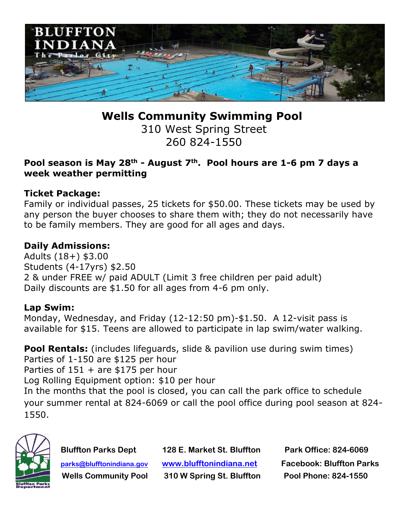

**Wells Community Swimming Pool**

310 West Spring Street 260 824-1550

## **Pool season is May 28th - August 7th . Pool hours are 1-6 pm 7 days a week weather permitting**

## **Ticket Package:**

Family or individual passes, 25 tickets for \$50.00. These tickets may be used by any person the buyer chooses to share them with; they do not necessarily have to be family members. They are good for all ages and days.

# **Daily Admissions:**

Adults (18+) \$3.00 Students (4-17yrs) \$2.50 2 & under FREE w/ paid ADULT (Limit 3 free children per paid adult) Daily discounts are \$1.50 for all ages from 4-6 pm only.

## **Lap Swim:**

Monday, Wednesday, and Friday (12-12:50 pm)-\$1.50. A 12-visit pass is available for \$15. Teens are allowed to participate in lap swim/water walking.

**Pool Rentals:** (includes lifeguards, slide & pavilion use during swim times) Parties of 1-150 are \$125 per hour Parties of  $151 +$  are \$175 per hour Log Rolling Equipment option: \$10 per hour In the months that the pool is closed, you can call the park office to schedule your summer rental at 824-6069 or call the pool office during pool season at 824- 1550.



 **Wells Community Pool 310 W Spring St. Bluffton Pool Phone: 824-1550**

 **Bluffton Parks Dept 128 E. Market St. Bluffton Park Office: 824-6069 [parks@blufftonindiana.gov](mailto:parks@blufftonindiana.gov) [www.blufftonindiana.net](http://www.blufftonindiana.net/) Facebook: Bluffton Parks**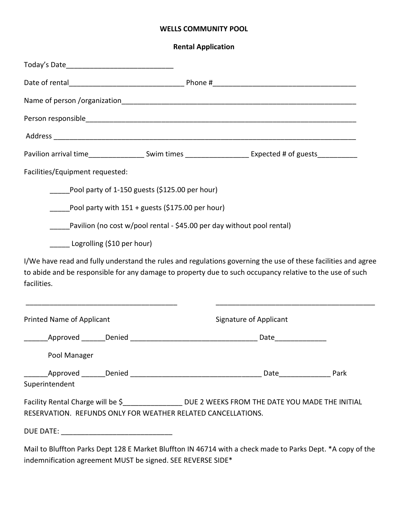#### **WELLS COMMUNITY POOL**

**Rental Application**

| Pavilion arrival time_______________________Swim times _________________________ Expected # of guests____________                                                                                                                                                                                                |                                                                        |                        |  |
|------------------------------------------------------------------------------------------------------------------------------------------------------------------------------------------------------------------------------------------------------------------------------------------------------------------|------------------------------------------------------------------------|------------------------|--|
| Facilities/Equipment requested:                                                                                                                                                                                                                                                                                  |                                                                        |                        |  |
|                                                                                                                                                                                                                                                                                                                  | Pool party of 1-150 guests (\$125.00 per hour)                         |                        |  |
|                                                                                                                                                                                                                                                                                                                  | Pool party with $151 +$ guests (\$175.00 per hour)                     |                        |  |
|                                                                                                                                                                                                                                                                                                                  | Pavilion (no cost w/pool rental - \$45.00 per day without pool rental) |                        |  |
| Logrolling (\$10 per hour)                                                                                                                                                                                                                                                                                       |                                                                        |                        |  |
| I/We have read and fully understand the rules and regulations governing the use of these facilities and agree<br>to abide and be responsible for any damage to property due to such occupancy relative to the use of such<br>facilities.<br><u> 1989 - Johann Barbara, martin da kasar Amerikaansk filosof (</u> |                                                                        |                        |  |
| <b>Printed Name of Applicant</b>                                                                                                                                                                                                                                                                                 |                                                                        | Signature of Applicant |  |
|                                                                                                                                                                                                                                                                                                                  |                                                                        |                        |  |
| Pool Manager                                                                                                                                                                                                                                                                                                     |                                                                        |                        |  |
| Superintendent                                                                                                                                                                                                                                                                                                   |                                                                        |                        |  |
| Facility Rental Charge will be \$__________________ DUE 2 WEEKS FROM THE DATE YOU MADE THE INITIAL<br>RESERVATION. REFUNDS ONLY FOR WEATHER RELATED CANCELLATIONS.                                                                                                                                               |                                                                        |                        |  |
|                                                                                                                                                                                                                                                                                                                  |                                                                        |                        |  |

Mail to Bluffton Parks Dept 128 E Market Bluffton IN 46714 with a check made to Parks Dept. \*A copy of the indemnification agreement MUST be signed. SEE REVERSE SIDE\*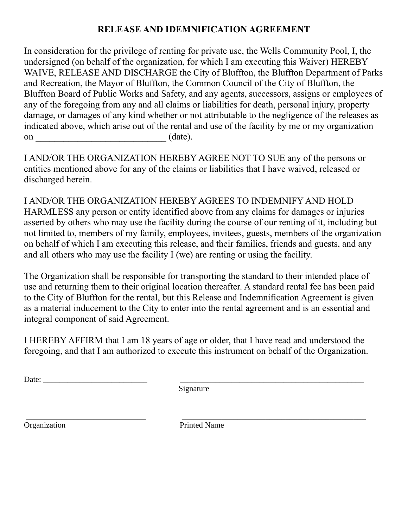# **RELEASE AND IDEMNIFICATION AGREEMENT**

In consideration for the privilege of renting for private use, the Wells Community Pool, I, the undersigned (on behalf of the organization, for which I am executing this Waiver) HEREBY WAIVE, RELEASE AND DISCHARGE the City of Bluffton, the Bluffton Department of Parks and Recreation, the Mayor of Bluffton, the Common Council of the City of Bluffton, the Bluffton Board of Public Works and Safety, and any agents, successors, assigns or employees of any of the foregoing from any and all claims or liabilities for death, personal injury, property damage, or damages of any kind whether or not attributable to the negligence of the releases as indicated above, which arise out of the rental and use of the facility by me or my organization on  $(\text{date})$ .

I AND/OR THE ORGANIZATION HEREBY AGREE NOT TO SUE any of the persons or entities mentioned above for any of the claims or liabilities that I have waived, released or discharged herein.

I AND/OR THE ORGANIZATION HEREBY AGREES TO INDEMNIFY AND HOLD HARMLESS any person or entity identified above from any claims for damages or injuries asserted by others who may use the facility during the course of our renting of it, including but not limited to, members of my family, employees, invitees, guests, members of the organization on behalf of which I am executing this release, and their families, friends and guests, and any and all others who may use the facility I (we) are renting or using the facility.

The Organization shall be responsible for transporting the standard to their intended place of use and returning them to their original location thereafter. A standard rental fee has been paid to the City of Bluffton for the rental, but this Release and Indemnification Agreement is given as a material inducement to the City to enter into the rental agreement and is an essential and integral component of said Agreement.

I HEREBY AFFIRM that I am 18 years of age or older, that I have read and understood the foregoing, and that I am authorized to execute this instrument on behalf of the Organization.

Date: \_\_\_\_\_\_\_\_\_\_\_\_\_\_\_\_\_\_\_\_\_\_\_\_\_\_ \_\_\_\_\_\_\_\_\_\_\_\_\_\_\_\_\_\_\_\_\_\_\_\_\_\_\_\_\_\_\_\_\_\_\_\_\_\_\_\_\_\_\_\_\_\_

Signature

\_\_\_\_\_\_\_\_\_\_\_\_\_\_\_\_\_\_\_\_\_\_\_\_\_\_\_\_\_\_ \_\_\_\_\_\_\_\_\_\_\_\_\_\_\_\_\_\_\_\_\_\_\_\_\_\_\_\_\_\_\_\_\_\_\_\_\_\_\_\_\_\_\_\_\_\_ Organization Printed Name